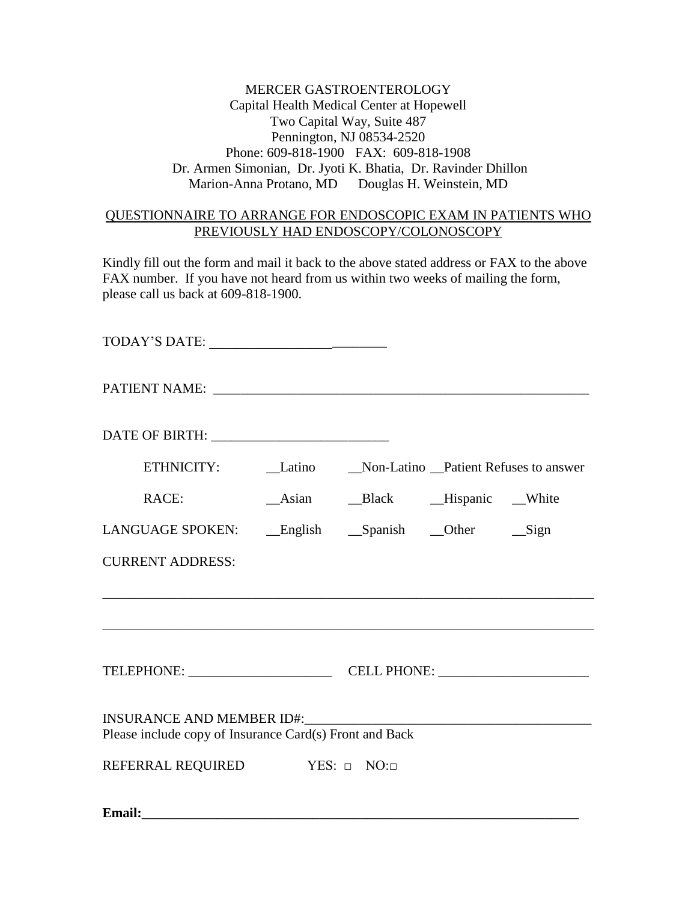MERCER GASTROENTEROLOGY Capital Health Medical Center at Hopewell Two Capital Way, Suite 487 Pennington, NJ 08534-2520 Phone: 609-818-1900 FAX: 609-818-1908 Dr. Armen Simonian, Dr. Jyoti K. Bhatia, Dr. Ravinder Dhillon Marion-Anna Protano, MD Douglas H. Weinstein, MD

## QUESTIONNAIRE TO ARRANGE FOR ENDOSCOPIC EXAM IN PATIENTS WHO PREVIOUSLY HAD ENDOSCOPY/COLONOSCOPY

Kindly fill out the form and mail it back to the above stated address or FAX to the above FAX number. If you have not heard from us within two weeks of mailing the form, please call us back at 609-818-1900.

| ETHNICITY: Latino _Non-Latino _Patient Refuses to answer |  |  |                            |  |  |  |
|----------------------------------------------------------|--|--|----------------------------|--|--|--|
| RACE:                                                    |  |  | Asian Black Hispanic White |  |  |  |
| LANGUAGE SPOKEN: __English __Spanish __Other ___Sign     |  |  |                            |  |  |  |
| <b>CURRENT ADDRESS:</b>                                  |  |  |                            |  |  |  |
|                                                          |  |  |                            |  |  |  |
|                                                          |  |  |                            |  |  |  |
| Please include copy of Insurance Card(s) Front and Back  |  |  |                            |  |  |  |
| REFERRAL REQUIRED YES: D NO:D                            |  |  |                            |  |  |  |

**Email:**  $\blacksquare$